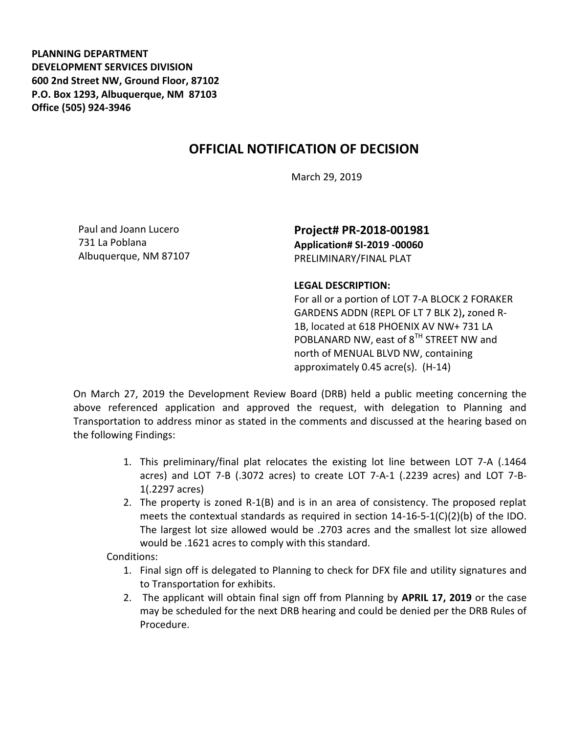**PLANNING DEPARTMENT DEVELOPMENT SERVICES DIVISION 600 2nd Street NW, Ground Floor, 87102 P.O. Box 1293, Albuquerque, NM 87103 Office (505) 924-3946** 

## **OFFICIAL NOTIFICATION OF DECISION**

March 29, 2019

Paul and Joann Lucero 731 La Poblana Albuquerque, NM 87107

**Project# PR-2018-001981 Application# SI-2019 -00060** PRELIMINARY/FINAL PLAT

## **LEGAL DESCRIPTION:**

For all or a portion of LOT 7-A BLOCK 2 FORAKER GARDENS ADDN (REPL OF LT 7 BLK 2)**,** zoned R-1B, located at 618 PHOENIX AV NW+ 731 LA POBLANARD NW, east of 8<sup>TH</sup> STREET NW and north of MENUAL BLVD NW, containing approximately 0.45 acre(s). (H-14)

On March 27, 2019 the Development Review Board (DRB) held a public meeting concerning the above referenced application and approved the request, with delegation to Planning and Transportation to address minor as stated in the comments and discussed at the hearing based on the following Findings:

- 1. This preliminary/final plat relocates the existing lot line between LOT 7-A (.1464 acres) and LOT 7-B (.3072 acres) to create LOT 7-A-1 (.2239 acres) and LOT 7-B-1(.2297 acres)
- 2. The property is zoned R-1(B) and is in an area of consistency. The proposed replat meets the contextual standards as required in section  $14-16-5-1(C)(2)(b)$  of the IDO. The largest lot size allowed would be .2703 acres and the smallest lot size allowed would be .1621 acres to comply with this standard.

Conditions:

- 1. Final sign off is delegated to Planning to check for DFX file and utility signatures and to Transportation for exhibits.
- 2. The applicant will obtain final sign off from Planning by **APRIL 17, 2019** or the case may be scheduled for the next DRB hearing and could be denied per the DRB Rules of Procedure.